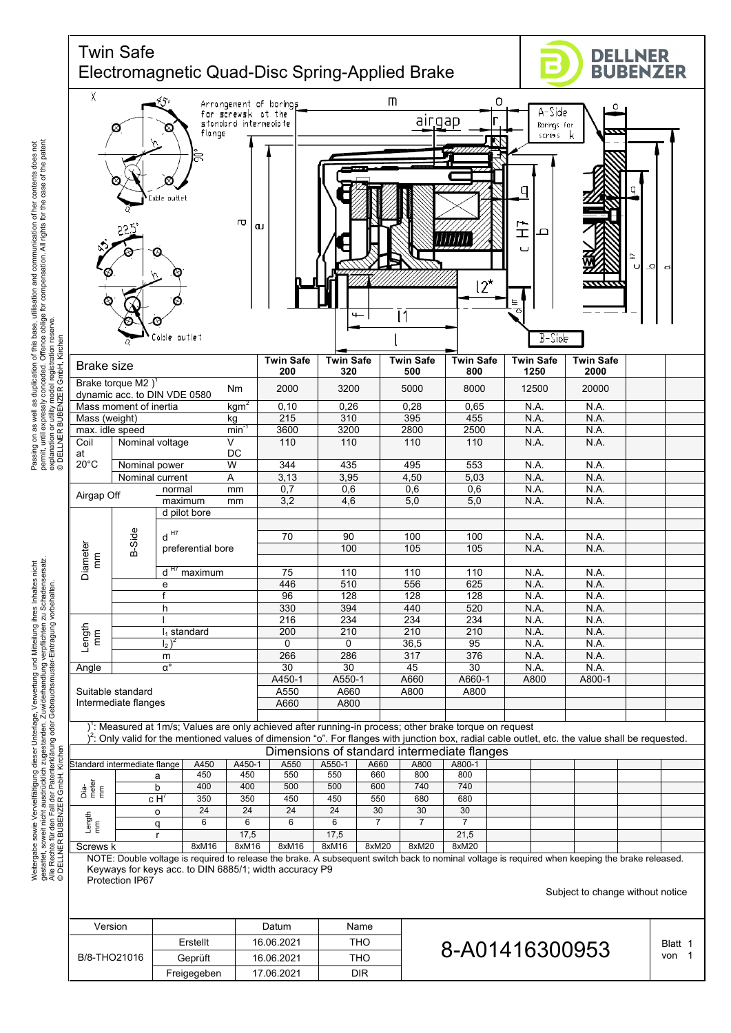

Freigegeben | 17.06.2021 | DIR

permit, until expressly conceded. Offence oblige for compensation. All rights for the case of the patent and communication of her contents does not<br>pensation. All rights for the case of the patent Passing on as well as duplication of this base, utilisation and communication of her contents does not Passing on as well as duplication of this base, utilisation and communi<br>permit, until expressly conceded. Offence oblige for compensation. All<br>experiment or build vizing compared in reserve.<br>experiment or build vizing comp explanation or utility model registration reserve.

gestattet, soweit nicht ausdrücklich zugestanden. Zuwiderhandlung verpflichten zu Schadensersatz. Weitergabe sowie Vervielfältigung dieser Unterlage. Verwertung und Mitteilung ihres Inhaltes nicht<br>gestattet, soweit nicht ausdrücklich zugestanden. Zuwiderhandlung verpflichten zu Schadensersatz.<br>© IDELLNER BUBENZER Grnb Weitergabe sowie Vervielfältigung dieser Unterlage, Verwertung und Mitteilung ihres Inhaltes nicht Alle Rechte für den Fall der Patenterklärung oder Gebrauchsmuster-Eintragung vorbehalten.